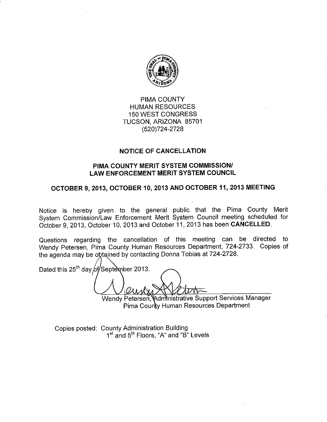

## PIMA COUNTY **HUMAN RESOURCES 150 WEST CONGRESS** TUCSON, ARIZONA 85701 (520) 724-2728

### **NOTICE OF CANCELLATION**

#### PIMA COUNTY MERIT SYSTEM COMMISSION/ **LAW ENFORCEMENT MERIT SYSTEM COUNCIL**

# OCTOBER 9, 2013, OCTOBER 10, 2013 AND OCTOBER 11, 2013 MEETING

Notice is hereby given to the general public that the Pima County Merit System Commission/Law Enforcement Merit System Council meeting scheduled for October 9, 2013, October 10, 2013 and October 11, 2013 has been CANCELLED.

Questions regarding the cancellation of this meeting can be directed to Wendy Petersen, Pima County Human Resources Department, 724-2733. Copies of the agenda may be obtained by contacting Donna Tobias at 724-2728.

Dated this 25<sup>th</sup> day of September 2013.

Wendy Petersen, Administrative Support Services Manager Pima County Human Resources Department

Copies posted: County Administration Building 1<sup>st</sup> and 5<sup>th</sup> Floors, "A" and "B" Levels